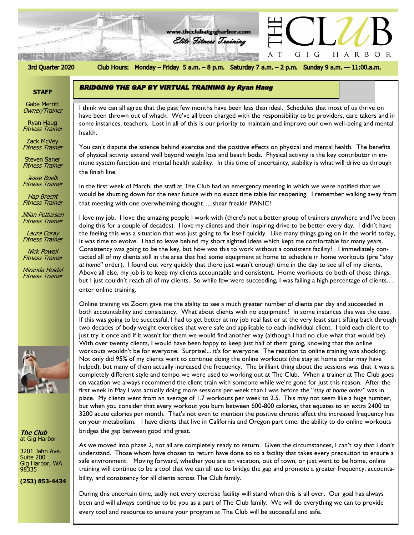

**BRIDGING THE GAP BY VIRTUAL TRAINING by Ryan Haug** 

3rd Quarter 2020

الموقع ؟<br>المستحقق الموقع

Club Hours: Monday - Friday 5 a.m. - 8 p.m. Saturday 7 a.m. - 2 p.m. Sunday 9 a.m. - 11:00.a.m.

A  $\mathbf T$  G I G

HARBOR

## **STAFF**

Gabe Merritt Owner/Trainer

Ryan Haug Fitness Trainer

Zack McVey Fitness Trainer

Steven Saner Fitness Trainer

Jesse Boelk Fitness Trainer

Hap Brecht Fitness Trainer

Jillian Pettersen Fitness Trainer

Laura Coray Fitness Trainer

Nick Powell Fitness Trainer

Miranda Hoidal Fitness Trainer



**The Club** at Gig Harbor

3201 Jahn Ave. Suite 200 Gig Harbor, WA 98335

**(253) 853-4434**

some instances, teachers. Lost in all of this is our priority to maintain and improve our own well-being and mental<br>health I think we can all agree that the past few months have been less than ideal. Schedules that most of us thrive on have been thrown out of whack. We've all been charged with the responsibility to be providers, care takers and in health.

You can't dispute the science behind exercise and the positive effects on physical and mental health. The benefits of physical activity extend well beyond weight loss and beach bods. Physical activity is the key contributor in immune system function and mental health stability. In this time of uncertainty, stability is what will drive us through the finish line.

In the first week of March, the staff at The Club had an emergency meeting in which we were notified that we would be shutting down for the near future with no exact time table for reopening. I remember walking away from that meeting with one overwhelming thought…..shear freakin PANIC!

I love my job. I love the amazing people I work with (there's not a better group of trainers anywhere and I've been doing this for a couple of decades). I love my clients and their inspiring drive to be better every day. I didn't have the feeling this was a situation that was just going to fix itself quickly. Like many things going on in the world today, it was time to evolve. I had to leave behind my short sighted ideas which kept me comfortable for many years. Consistency was going to be the key, but how was this to work without a consistent facility? I immediately contacted all of my clients still in the area that had some equipment at home to schedule in home workouts (pre "*stay at home"* order). I found out very quickly that there just wasn't enough time in the day to see all of my clients. Above all else, my job is to keep my clients accountable and consistent. Home workouts do both of those things, but I just couldn't reach all of my clients. So while few were succeeding, I was failing a high percentage of clients… enter online training.

Online training via Zoom gave me the ability to see a much greater number of clients per day and succeeded in both accountability and consistency. What about clients with no equipment? In some instances this was the case. If this was going to be successful, I had to get better at my job real fast or at the very least start sifting back through two decades of body weight exercises that were safe and applicable to each individual client. I told each client to just try it once and if it wasn't for them we would find another way (although I had no clue what that would be). With over twenty clients, I would have been happy to keep just half of them going, knowing that the online workouts wouldn't be for everyone. Surprise!... it's for everyone. The reaction to online training was shocking. Not only did 95% of my clients want to continue doing the online workouts (the stay at home order may have helped), but many of them actually increased the frequency. The brilliant thing about the sessions was that it was a completely different style and tempo we were used to working out at The Club. When a trainer at The Club goes on vacation we always recommend the client train with someone while we're gone for just this reason. After the first week in May I was actually doing more sessions per week than I was before the "*stay at home order"* was in place. My clients went from an average of 1.7 workouts per week to 2.5. This may not seem like a huge number, but when you consider that every workout you burn between 600-800 calories, that equates to an extra 2400 to 3200 acute calories per month. That's not even to mention the positive chronic affect the increased frequency has on your metabolism. I have clients that live in California and Oregon part time, the ability to do online workouts bridges the gap between good and great.

As we moved into phase 2, not all are completely ready to return. Given the circumstances, I can't say that I don't understand. Those whom have chosen to return have done so to a facility that takes every precaution to ensure a safe environment. Moving forward, whether you are on vacation, out of town, or just want to be home, online training will continue to be a tool that we can all use to bridge the gap and promote a greater frequency, accountability, and consistency for all clients across The Club family.

During this uncertain time, sadly not every exercise facility will stand when this is all over. Our goal has always been and will always continue to be you as a part of The Club family. We will do everything we can to provide every tool and resource to ensure your program at The Club will be successful and safe.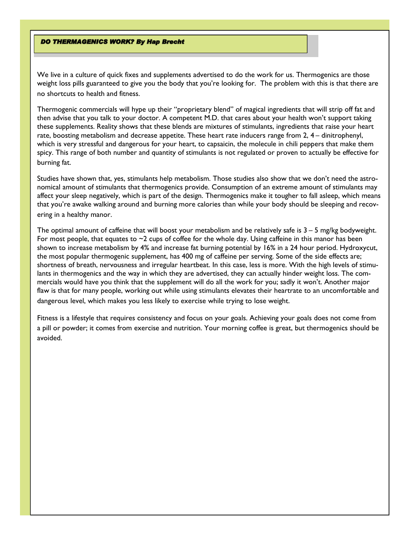## **DO THERMAGENICS WORK? By Hap Brecht**

We live in a culture of quick fixes and supplements advertised to do the work for us. Thermogenics are those weight loss pills guaranteed to give you the body that you're looking for. The problem with this is that there are no shortcuts to health and fitness.

Thermogenic commercials will hype up their "proprietary blend" of magical ingredients that will strip off fat and then advise that you talk to your doctor. A competent M.D. that cares about your health won't support taking these supplements. Reality shows that these blends are mixtures of stimulants, ingredients that raise your heart rate, boosting metabolism and decrease appetite. These heart rate inducers range from 2, 4 – dinitrophenyl, which is very stressful and dangerous for your heart, to capsaicin, the molecule in chili peppers that make them spicy. This range of both number and quantity of stimulants is not regulated or proven to actually be effective for burning fat.

Studies have shown that, yes, stimulants help metabolism. Those studies also show that we don't need the astronomical amount of stimulants that thermogenics provide. Consumption of an extreme amount of stimulants may affect your sleep negatively, which is part of the design. Thermogenics make it tougher to fall asleep, which means that you're awake walking around and burning more calories than while your body should be sleeping and recovering in a healthy manor.

The optimal amount of caffeine that will boost your metabolism and be relatively safe is  $3 - 5$  mg/kg bodyweight. For most people, that equates to  $\sim$ 2 cups of coffee for the whole day. Using caffeine in this manor has been shown to increase metabolism by 4% and increase fat burning potential by 16% in a 24 hour period. Hydroxycut, the most popular thermogenic supplement, has 400 mg of caffeine per serving. Some of the side effects are; shortness of breath, nervousness and irregular heartbeat. In this case, less is more. With the high levels of stimulants in thermogenics and the way in which they are advertised, they can actually hinder weight loss. The commercials would have you think that the supplement will do all the work for you; sadly it won't. Another major flaw is that for many people, working out while using stimulants elevates their heartrate to an uncomfortable and dangerous level, which makes you less likely to exercise while trying to lose weight.

Fitness is a lifestyle that requires consistency and focus on your goals. Achieving your goals does not come from a pill or powder; it comes from exercise and nutrition. Your morning coffee is great, but thermogenics should be avoided.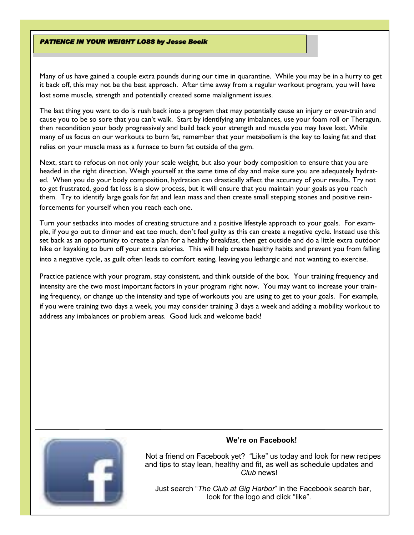# **PATIENCE IN YOUR WEIGHT LOSS by Jesse Boelk**

Many of us have gained a couple extra pounds during our time in quarantine. While you may be in a hurry to get it back off, this may not be the best approach. After time away from a regular workout program, you will have lost some muscle, strength and potentially created some malalignment issues.

The last thing you want to do is rush back into a program that may potentially cause an injury or over-train and cause you to be so sore that you can't walk. Start by identifying any imbalances, use your foam roll or Theragun, then recondition your body progressively and build back your strength and muscle you may have lost. While many of us focus on our workouts to burn fat, remember that your metabolism is the key to losing fat and that relies on your muscle mass as a furnace to burn fat outside of the gym.

Next, start to refocus on not only your scale weight, but also your body composition to ensure that you are headed in the right direction. Weigh yourself at the same time of day and make sure you are adequately hydrated. When you do your body composition, hydration can drastically affect the accuracy of your results. Try not to get frustrated, good fat loss is a slow process, but it will ensure that you maintain your goals as you reach them. Try to identify large goals for fat and lean mass and then create small stepping stones and positive reinforcements for yourself when you reach each one.

Turn your setbacks into modes of creating structure and a positive lifestyle approach to your goals. For example, if you go out to dinner and eat too much, don't feel guilty as this can create a negative cycle. Instead use this set back as an opportunity to create a plan for a healthy breakfast, then get outside and do a little extra outdoor hike or kayaking to burn off your extra calories. This will help create healthy habits and prevent you from falling into a negative cycle, as guilt often leads to comfort eating, leaving you lethargic and not wanting to exercise.

Practice patience with your program, stay consistent, and think outside of the box. Your training frequency and intensity are the two most important factors in your program right now. You may want to increase your training frequency, or change up the intensity and type of workouts you are using to get to your goals. For example, if you were training two days a week, you may consider training 3 days a week and adding a mobility workout to address any imbalances or problem areas. Good luck and welcome back!



# **We're on Facebook!**

 Not a friend on Facebook yet? "Like" us today and look for new recipes and tips to stay lean, healthy and fit, as well as schedule updates and *Club* news!

 Just search "*The Club at Gig Harbor*" in the Facebook search bar, look for the logo and click "like".